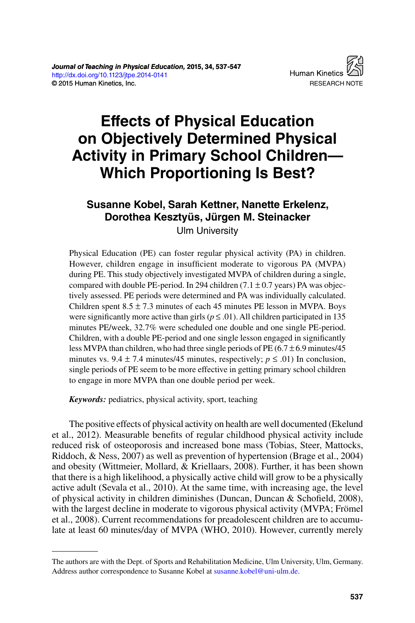*Journal of Teaching in Physical Education,* **2015, 34, 537 -547** © 2015 Human Kinetics, Inc. <http://dx.doi.org/10.1123/jtpe.2014-0141>



# **Effects of Physical Education on Objectively Determined Physical Activity in Primary School Children— Which Proportioning Is Best?**

# **Susanne Kobel, Sarah Kettner, Nanette Erkelenz, Dorothea Kesztyüs, Jürgen M. Steinacker**

Ulm University

Physical Education (PE) can foster regular physical activity (PA) in children. However, children engage in insufficient moderate to vigorous PA (MVPA) during PE. This study objectively investigated MVPA of children during a single, compared with double PE-period. In 294 children  $(7.1 \pm 0.7 \text{ years})$  PA was objectively assessed. PE periods were determined and PA was individually calculated. Children spent  $8.5 \pm 7.3$  minutes of each 45 minutes PE lesson in MVPA. Boys were significantly more active than girls ( $p \le 0.01$ ). All children participated in 135 minutes PE/week, 32.7% were scheduled one double and one single PE-period. Children, with a double PE-period and one single lesson engaged in significantly less MVPA than children, who had three single periods of PE  $(6.7 \pm 6.9 \text{ minutes}/45)$ minutes vs. 9.4  $\pm$  7.4 minutes/45 minutes, respectively;  $p \leq .01$ ) In conclusion, single periods of PE seem to be more effective in getting primary school children to engage in more MVPA than one double period per week.

*Keywords:* pediatrics, physical activity, sport, teaching

The positive effects of physical activity on health are well documented (Ekelund et al., 2012). Measurable benefits of regular childhood physical activity include reduced risk of osteoporosis and increased bone mass (Tobias, Steer, Mattocks, Riddoch, & Ness, 2007) as well as prevention of hypertension (Brage et al., 2004) and obesity (Wittmeier, Mollard, & Kriellaars, 2008). Further, it has been shown that there is a high likelihood, a physically active child will grow to be a physically active adult (Sevala et al., 2010). At the same time, with increasing age, the level of physical activity in children diminishes (Duncan, Duncan & Schofield, 2008), with the largest decline in moderate to vigorous physical activity (MVPA; Frömel et al., 2008). Current recommendations for preadolescent children are to accumulate at least 60 minutes/day of MVPA (WHO, 2010). However, currently merely

The authors are with the Dept. of Sports and Rehabilitation Medicine, Ulm University, Ulm, Germany. Address author correspondence to Susanne Kobel at [susanne.kobel@uni-ulm.de](mailto:susanne.kobel%40uni-ulm.de?subject=).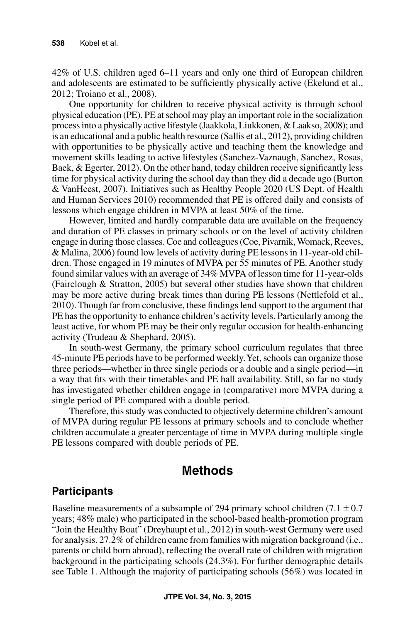42% of U.S. children aged 6–11 years and only one third of European children and adolescents are estimated to be sufficiently physically active (Ekelund et al., 2012; Troiano et al., 2008).

One opportunity for children to receive physical activity is through school physical education (PE). PE at school may play an important role in the socialization process into a physically active lifestyle (Jaakkola, Liukkonen, & Laakso, 2008); and is an educational and a public health resource (Sallis et al., 2012), providing children with opportunities to be physically active and teaching them the knowledge and movement skills leading to active lifestyles (Sanchez-Vaznaugh, Sanchez, Rosas, Baek, & Egerter, 2012). On the other hand, today children receive significantly less time for physical activity during the school day than they did a decade ago (Burton & VanHeest, 2007). Initiatives such as Healthy People 2020 (US Dept. of Health and Human Services 2010) recommended that PE is offered daily and consists of lessons which engage children in MVPA at least 50% of the time.

However, limited and hardly comparable data are available on the frequency and duration of PE classes in primary schools or on the level of activity children engage in during those classes. Coe and colleagues (Coe, Pivarnik, Womack, Reeves, & Malina, 2006) found low levels of activity during PE lessons in 11-year-old children. Those engaged in 19 minutes of MVPA per 55 minutes of PE. Another study found similar values with an average of 34% MVPA of lesson time for 11-year-olds (Fairclough & Stratton, 2005) but several other studies have shown that children may be more active during break times than during PE lessons (Nettlefold et al., 2010). Though far from conclusive, these findings lend support to the argument that PE has the opportunity to enhance children's activity levels. Particularly among the least active, for whom PE may be their only regular occasion for health-enhancing activity (Trudeau & Shephard, 2005).

In south-west Germany, the primary school curriculum regulates that three 45-minute PE periods have to be performed weekly. Yet, schools can organize those three periods—whether in three single periods or a double and a single period—in a way that fits with their timetables and PE hall availability. Still, so far no study has investigated whether children engage in (comparative) more MVPA during a single period of PE compared with a double period.

Therefore, this study was conducted to objectively determine children's amount of MVPA during regular PE lessons at primary schools and to conclude whether children accumulate a greater percentage of time in MVPA during multiple single PE lessons compared with double periods of PE.

#### **Methods**

#### **Participants**

Baseline measurements of a subsample of 294 primary school children  $(7.1 \pm 0.7)$ years; 48% male) who participated in the school-based health-promotion program "Join the Healthy Boat" (Dreyhaupt et al., 2012) in south-west Germany were used for analysis. 27.2% of children came from families with migration background (i.e., parents or child born abroad), reflecting the overall rate of children with migration background in the participating schools (24.3%). For further demographic details see Table 1. Although the majority of participating schools (56%) was located in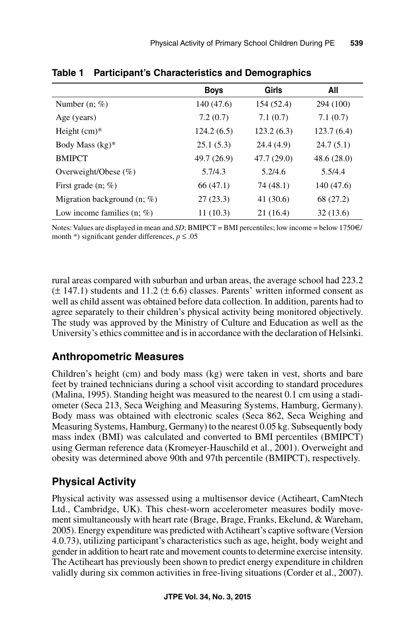|                                | <b>Boys</b> | Girls      | All        |
|--------------------------------|-------------|------------|------------|
| Number $(n; \%)$               | 140(47.6)   | 154 (52.4) | 294 (100)  |
| Age (years)                    | 7.2(0.7)    | 7.1(0.7)   | 7.1(0.7)   |
| Height $(cm)*$                 | 124.2(6.5)  | 123.2(6.3) | 123.7(6.4) |
| Body Mass $(kg)^*$             | 25.1(5.3)   | 24.4(4.9)  | 24.7(5.1)  |
| <b>BMIPCT</b>                  | 49.7 (26.9) | 47.7(29.0) | 48.6(28.0) |
| Overweight/Obese $(\%)$        | 5.7/4.3     | 5.2/4.6    | 5.5/4.4    |
| First grade $(n; \%)$          | 66 (47.1)   | 74 (48.1)  | 140 (47.6) |
| Migration background $(n; \%)$ | 27(23.3)    | 41 (30.6)  | 68 (27.2)  |
| Low income families $(n, \%)$  | 11(10.3)    | 21(16.4)   | 32(13.6)   |

**Table 1 Participant's Characteristics and Demographics**

Notes: Values are displayed in mean and *SD*; BMIPCT = BMI percentiles; low income = below 1750€/ month \*) significant gender differences,  $p \le 0.05$ 

rural areas compared with suburban and urban areas, the average school had 223.2  $(\pm 147.1)$  students and  $11.2 (\pm 6.6)$  classes. Parents' written informed consent as well as child assent was obtained before data collection. In addition, parents had to agree separately to their children's physical activity being monitored objectively. The study was approved by the Ministry of Culture and Education as well as the University's ethics committee and is in accordance with the declaration of Helsinki.

## **Anthropometric Measures**

Children's height (cm) and body mass (kg) were taken in vest, shorts and bare feet by trained technicians during a school visit according to standard procedures (Malina, 1995). Standing height was measured to the nearest 0.1 cm using a stadiometer (Seca 213, Seca Weighing and Measuring Systems, Hamburg, Germany). Body mass was obtained with electronic scales (Seca 862, Seca Weighing and Measuring Systems, Hamburg, Germany) to the nearest 0.05 kg. Subsequently body mass index (BMI) was calculated and converted to BMI percentiles (BMIPCT) using German reference data (Kromeyer-Hauschild et al., 2001). Overweight and obesity was determined above 90th and 97th percentile (BMIPCT), respectively.

## **Physical Activity**

Physical activity was assessed using a multisensor device (Actiheart, CamNtech Ltd., Cambridge, UK). This chest-worn accelerometer measures bodily movement simultaneously with heart rate (Brage, Brage, Franks, Ekelund, & Wareham, 2005). Energy expenditure was predicted with Actiheart's captive software (Version 4.0.73), utilizing participant's characteristics such as age, height, body weight and gender in addition to heart rate and movement counts to determine exercise intensity. The Actiheart has previously been shown to predict energy expenditure in children validly during six common activities in free-living situations (Corder et al., 2007).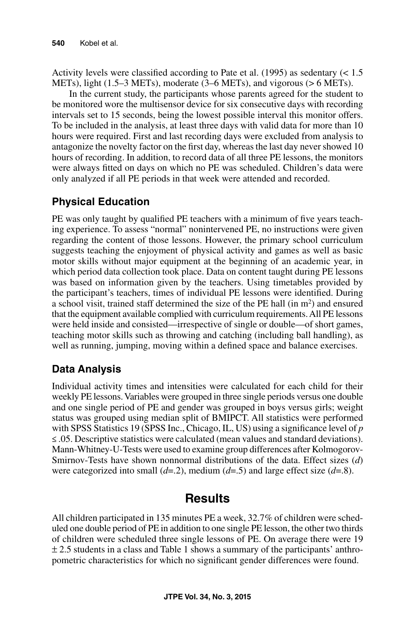Activity levels were classified according to Pate et al. (1995) as sedentary (< 1.5 METs), light (1.5–3 METs), moderate (3–6 METs), and vigorous (> 6 METs).

In the current study, the participants whose parents agreed for the student to be monitored wore the multisensor device for six consecutive days with recording intervals set to 15 seconds, being the lowest possible interval this monitor offers. To be included in the analysis, at least three days with valid data for more than 10 hours were required. First and last recording days were excluded from analysis to antagonize the novelty factor on the first day, whereas the last day never showed 10 hours of recording. In addition, to record data of all three PE lessons, the monitors were always fitted on days on which no PE was scheduled. Children's data were only analyzed if all PE periods in that week were attended and recorded.

#### **Physical Education**

PE was only taught by qualified PE teachers with a minimum of five years teaching experience. To assess "normal" nonintervened PE, no instructions were given regarding the content of those lessons. However, the primary school curriculum suggests teaching the enjoyment of physical activity and games as well as basic motor skills without major equipment at the beginning of an academic year, in which period data collection took place. Data on content taught during PE lessons was based on information given by the teachers. Using timetables provided by the participant's teachers, times of individual PE lessons were identified. During a school visit, trained staff determined the size of the PE hall  $(in m<sup>2</sup>)$  and ensured that the equipment available complied with curriculum requirements. All PE lessons were held inside and consisted—irrespective of single or double—of short games, teaching motor skills such as throwing and catching (including ball handling), as well as running, jumping, moving within a defined space and balance exercises.

#### **Data Analysis**

Individual activity times and intensities were calculated for each child for their weekly PE lessons. Variables were grouped in three single periods versus one double and one single period of PE and gender was grouped in boys versus girls; weight status was grouped using median split of BMIPCT. All statistics were performed with SPSS Statistics 19 (SPSS Inc., Chicago, IL, US) using a significance level of *p* ≤ .05. Descriptive statistics were calculated (mean values and standard deviations). Mann-Whitney-U-Tests were used to examine group differences after Kolmogorov-Smirnov-Tests have shown nonnormal distributions of the data. Effect sizes (*d*) were categorized into small  $(d=2)$ , medium  $(d=5)$  and large effect size  $(d=8)$ .

#### **Results**

All children participated in 135 minutes PE a week, 32.7% of children were scheduled one double period of PE in addition to one single PE lesson, the other two thirds of children were scheduled three single lessons of PE. On average there were 19  $\pm$  2.5 students in a class and Table 1 shows a summary of the participants' anthropometric characteristics for which no significant gender differences were found.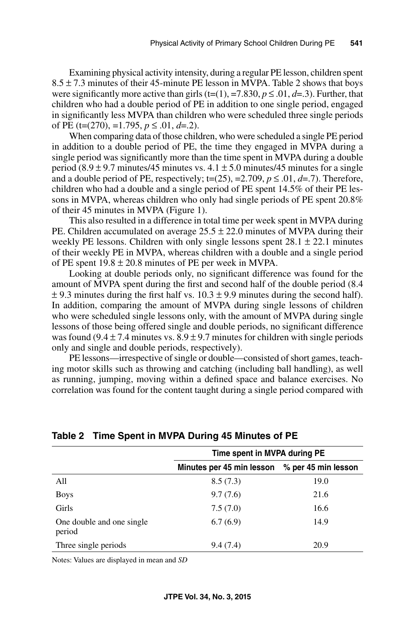Examining physical activity intensity, during a regular PE lesson, children spent  $8.5 \pm 7.3$  minutes of their 45-minute PE lesson in MVPA. Table 2 shows that boys were significantly more active than girls (t=(1), =7.830,  $p \le 0.01$ ,  $d = 0.3$ ). Further, that children who had a double period of PE in addition to one single period, engaged in significantly less MVPA than children who were scheduled three single periods of PE (t=(270), =1.795, *p* ≤ .01, *d*=.2).

When comparing data of those children, who were scheduled a single PE period in addition to a double period of PE, the time they engaged in MVPA during a single period was significantly more than the time spent in MVPA during a double period (8.9  $\pm$  9.7 minutes/45 minutes vs. 4.1  $\pm$  5.0 minutes/45 minutes for a single and a double period of PE, respectively;  $t=(25)$ ,  $=2.709$ ,  $p \le 0.01$ ,  $d=0.7$ ). Therefore, children who had a double and a single period of PE spent 14.5% of their PE lessons in MVPA, whereas children who only had single periods of PE spent 20.8% of their 45 minutes in MVPA (Figure 1).

This also resulted in a difference in total time per week spent in MVPA during PE. Children accumulated on average  $25.5 \pm 22.0$  minutes of MVPA during their weekly PE lessons. Children with only single lessons spent  $28.1 \pm 22.1$  minutes of their weekly PE in MVPA, whereas children with a double and a single period of PE spent  $19.8 \pm 20.8$  minutes of PE per week in MVPA.

Looking at double periods only, no significant difference was found for the amount of MVPA spent during the first and second half of the double period (8.4  $\pm$  9.3 minutes during the first half vs. 10.3  $\pm$  9.9 minutes during the second half). In addition, comparing the amount of MVPA during single lessons of children who were scheduled single lessons only, with the amount of MVPA during single lessons of those being offered single and double periods, no significant difference was found (9.4  $\pm$  7.4 minutes vs. 8.9  $\pm$  9.7 minutes for children with single periods only and single and double periods, respectively).

PE lessons—irrespective of single or double—consisted of short games, teaching motor skills such as throwing and catching (including ball handling), as well as running, jumping, moving within a defined space and balance exercises. No correlation was found for the content taught during a single period compared with

#### **Table 2 Time Spent in MVPA During 45 Minutes of PE**

|                                     | Time spent in MVPA during PE                  |      |  |
|-------------------------------------|-----------------------------------------------|------|--|
|                                     | Minutes per 45 min lesson % per 45 min lesson |      |  |
| All                                 | 8.5(7.3)                                      | 19.0 |  |
| <b>Boys</b>                         | 9.7(7.6)                                      | 21.6 |  |
| Girls                               | 7.5(7.0)                                      | 16.6 |  |
| One double and one single<br>period | 6.7(6.9)                                      | 14.9 |  |
| Three single periods                | 9.4(7.4)                                      | 20.9 |  |

Notes: Values are displayed in mean and *SD*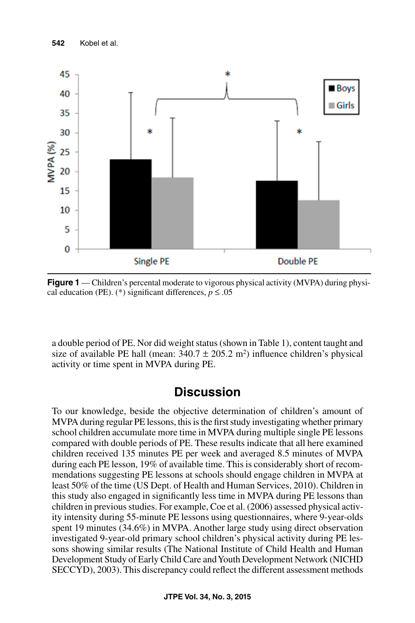

**Figure 1** — Children's percental moderate to vigorous physical activity (MVPA) during physical education (PE). (\*) significant differences,  $p \le 0.05$ 

a double period of PE. Nor did weight status (shown in Table 1), content taught and size of available PE hall (mean:  $340.7 \pm 205.2$  m<sup>2</sup>) influence children's physical activity or time spent in MVPA during PE.

# **Discussion**

To our knowledge, beside the objective determination of children's amount of MVPA during regular PE lessons, this is the first study investigating whether primary school children accumulate more time in MVPA during multiple single PE lessons compared with double periods of PE. These results indicate that all here examined children received 135 minutes PE per week and averaged 8.5 minutes of MVPA during each PE lesson, 19% of available time. This is considerably short of recommendations suggesting PE lessons at schools should engage children in MVPA at least 50% of the time (US Dept. of Health and Human Services, 2010). Children in this study also engaged in significantly less time in MVPA during PE lessons than children in previous studies. For example, Coe et al. (2006) assessed physical activity intensity during 55-minute PE lessons using questionnaires, where 9-year-olds spent 19 minutes (34.6%) in MVPA. Another large study using direct observation investigated 9-year-old primary school children's physical activity during PE lessons showing similar results (The National Institute of Child Health and Human Development Study of Early Child Care and Youth Development Network (NICHD SECCYD), 2003). This discrepancy could reflect the different assessment methods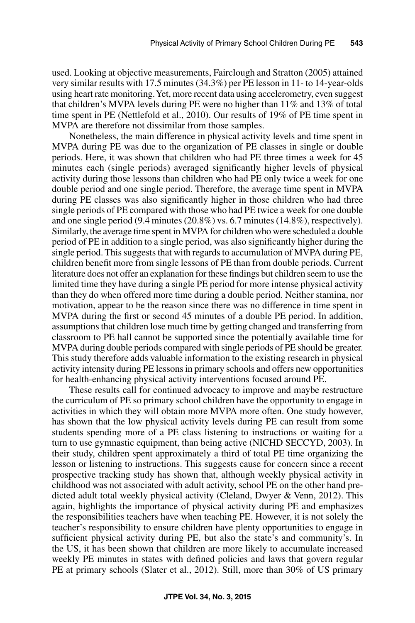used. Looking at objective measurements, Fairclough and Stratton (2005) attained very similar results with 17.5 minutes (34.3%) per PE lesson in 11- to 14-year-olds using heart rate monitoring. Yet, more recent data using accelerometry, even suggest that children's MVPA levels during PE were no higher than 11% and 13% of total time spent in PE (Nettlefold et al., 2010). Our results of 19% of PE time spent in MVPA are therefore not dissimilar from those samples.

Nonetheless, the main difference in physical activity levels and time spent in MVPA during PE was due to the organization of PE classes in single or double periods. Here, it was shown that children who had PE three times a week for 45 minutes each (single periods) averaged significantly higher levels of physical activity during those lessons than children who had PE only twice a week for one double period and one single period. Therefore, the average time spent in MVPA during PE classes was also significantly higher in those children who had three single periods of PE compared with those who had PE twice a week for one double and one single period (9.4 minutes (20.8%) vs. 6.7 minutes (14.8%), respectively). Similarly, the average time spent in MVPA for children who were scheduled a double period of PE in addition to a single period, was also significantly higher during the single period. This suggests that with regards to accumulation of MVPA during PE, children benefit more from single lessons of PE than from double periods. Current literature does not offer an explanation for these findings but children seem to use the limited time they have during a single PE period for more intense physical activity than they do when offered more time during a double period. Neither stamina, nor motivation, appear to be the reason since there was no difference in time spent in MVPA during the first or second 45 minutes of a double PE period. In addition, assumptions that children lose much time by getting changed and transferring from classroom to PE hall cannot be supported since the potentially available time for MVPA during double periods compared with single periods of PE should be greater. This study therefore adds valuable information to the existing research in physical activity intensity during PE lessons in primary schools and offers new opportunities for health-enhancing physical activity interventions focused around PE.

These results call for continued advocacy to improve and maybe restructure the curriculum of PE so primary school children have the opportunity to engage in activities in which they will obtain more MVPA more often. One study however, has shown that the low physical activity levels during PE can result from some students spending more of a PE class listening to instructions or waiting for a turn to use gymnastic equipment, than being active (NICHD SECCYD, 2003). In their study, children spent approximately a third of total PE time organizing the lesson or listening to instructions. This suggests cause for concern since a recent prospective tracking study has shown that, although weekly physical activity in childhood was not associated with adult activity, school PE on the other hand predicted adult total weekly physical activity (Cleland, Dwyer & Venn, 2012). This again, highlights the importance of physical activity during PE and emphasizes the responsibilities teachers have when teaching PE. However, it is not solely the teacher's responsibility to ensure children have plenty opportunities to engage in sufficient physical activity during PE, but also the state's and community's. In the US, it has been shown that children are more likely to accumulate increased weekly PE minutes in states with defined policies and laws that govern regular PE at primary schools (Slater et al., 2012). Still, more than 30% of US primary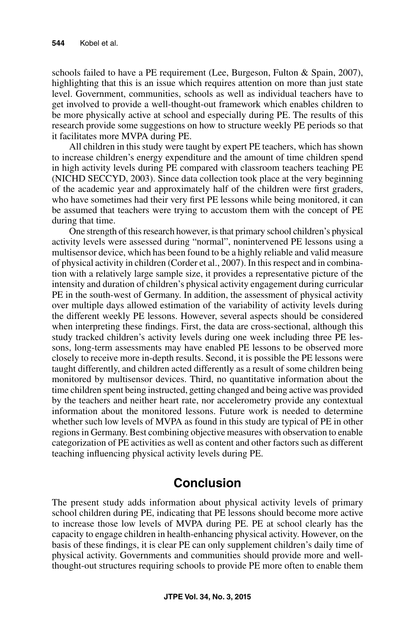schools failed to have a PE requirement (Lee, Burgeson, Fulton & Spain, 2007), highlighting that this is an issue which requires attention on more than just state level. Government, communities, schools as well as individual teachers have to get involved to provide a well-thought-out framework which enables children to be more physically active at school and especially during PE. The results of this research provide some suggestions on how to structure weekly PE periods so that it facilitates more MVPA during PE.

All children in this study were taught by expert PE teachers, which has shown to increase children's energy expenditure and the amount of time children spend in high activity levels during PE compared with classroom teachers teaching PE (NICHD SECCYD, 2003). Since data collection took place at the very beginning of the academic year and approximately half of the children were first graders, who have sometimes had their very first PE lessons while being monitored, it can be assumed that teachers were trying to accustom them with the concept of PE during that time.

One strength of this research however, is that primary school children's physical activity levels were assessed during "normal", nonintervened PE lessons using a multisensor device, which has been found to be a highly reliable and valid measure of physical activity in children (Corder et al., 2007). In this respect and in combination with a relatively large sample size, it provides a representative picture of the intensity and duration of children's physical activity engagement during curricular PE in the south-west of Germany. In addition, the assessment of physical activity over multiple days allowed estimation of the variability of activity levels during the different weekly PE lessons. However, several aspects should be considered when interpreting these findings. First, the data are cross-sectional, although this study tracked children's activity levels during one week including three PE lessons, long-term assessments may have enabled PE lessons to be observed more closely to receive more in-depth results. Second, it is possible the PE lessons were taught differently, and children acted differently as a result of some children being monitored by multisensor devices. Third, no quantitative information about the time children spent being instructed, getting changed and being active was provided by the teachers and neither heart rate, nor accelerometry provide any contextual information about the monitored lessons. Future work is needed to determine whether such low levels of MVPA as found in this study are typical of PE in other regions in Germany. Best combining objective measures with observation to enable categorization of PE activities as well as content and other factors such as different teaching influencing physical activity levels during PE.

# **Conclusion**

The present study adds information about physical activity levels of primary school children during PE, indicating that PE lessons should become more active to increase those low levels of MVPA during PE. PE at school clearly has the capacity to engage children in health-enhancing physical activity. However, on the basis of these findings, it is clear PE can only supplement children's daily time of physical activity. Governments and communities should provide more and wellthought-out structures requiring schools to provide PE more often to enable them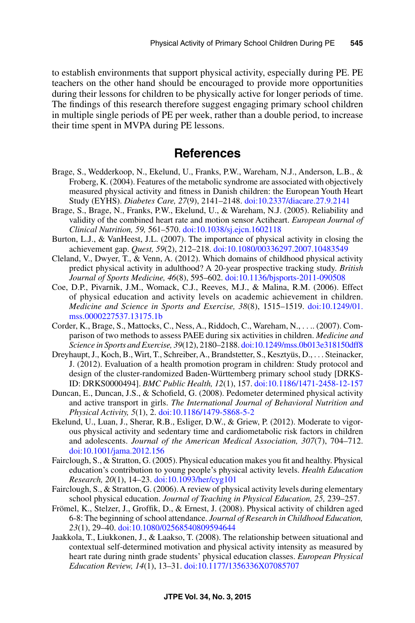to establish environments that support physical activity, especially during PE. PE teachers on the other hand should be encouraged to provide more opportunities during their lessons for children to be physically active for longer periods of time. The findings of this research therefore suggest engaging primary school children in multiple single periods of PE per week, rather than a double period, to increase their time spent in MVPA during PE lessons.

#### **References**

- Brage, S., Wedderkoop, N., Ekelund, U., Franks, P.W., Wareham, N.J., Anderson, L.B., & Froberg, K. (2004). Features of the metabolic syndrome are associated with objectively measured physical activity and fitness in Danish children: the European Youth Heart Study (EYHS). *Diabetes Care, 27*(9), 2141–2148. [doi:10.2337/diacare.27.9.2141](http://dx.doi.org/10.2337/diacare.27.9.2141)
- Brage, S., Brage, N., Franks, P.W., Ekelund, U., & Wareham, N.J. (2005). Reliability and validity of the combined heart rate and motion sensor Actiheart. *European Journal of Clinical Nutrition, 59,* 561–570. [doi:10.1038/sj.ejcn.1602118](http://dx.doi.org/10.1038/sj.ejcn.1602118)
- Burton, L.J., & VanHeest, J.L. (2007). The importance of physical activity in closing the achievement gap. *Quest, 59*(2), 212–218. [doi:10.1080/00336297.2007.10483549](http://dx.doi.org/10.1080/00336297.2007.10483549)
- Cleland, V., Dwyer, T., & Venn, A. (2012). Which domains of childhood physical activity predict physical activity in adulthood? A 20-year prospective tracking study. *British Journal of Sports Medicine, 46*(8), 595–602. [doi:10.1136/bjsports-2011-090508](http://dx.doi.org/10.1136/bjsports-2011-090508)
- Coe, D.P., Pivarnik, J.M., Womack, C.J., Reeves, M.J., & Malina, R.M. (2006). Effect of physical education and activity levels on academic achievement in children. *Medicine and Science in Sports and Exercise, 38*(8), 1515–1519. [doi:10.1249/01.](http://dx.doi.org/10.1249/01.mss.0000227537.13175.1b) [mss.0000227537.13175.1b](http://dx.doi.org/10.1249/01.mss.0000227537.13175.1b)
- Corder, K., Brage, S., Mattocks, C., Ness, A., Riddoch, C., Wareham, N., . . .. (2007). Comparison of two methods to assess PAEE during six activities in children. *Medicine and Science in Sports and Exercise, 39*(12), 2180–2188. [doi:10.1249/mss.0b013e318150dff8](http://dx.doi.org/10.1249/mss.0b013e318150dff8)
- Dreyhaupt, J., Koch, B., Wirt, T., Schreiber, A., Brandstetter, S., Kesztyüs, D., . . . Steinacker, J. (2012). Evaluation of a health promotion program in children: Study protocol and design of the cluster-randomized Baden-Württemberg primary school study [DRKS-ID: DRKS0000494]. *BMC Public Health, 12*(1), 157. [doi:10.1186/1471-2458-12-157](http://dx.doi.org/10.1186/1471-2458-12-157)
- Duncan, E., Duncan, J.S., & Schofield, G. (2008). Pedometer determined physical activity and active transport in girls. *The International Journal of Behavioral Nutrition and Physical Activity, 5*(1), 2. [doi:10.1186/1479-5868-5-2](http://dx.doi.org/10.1186/1479-5868-5-2)
- Ekelund, U., Luan, J., Sherar, R.B., Esliger, D.W., & Griew, P. (2012). Moderate to vigorous physical activity and sedentary time and cardiometabolic risk factors in children and adolescents. *Journal of the American Medical Association, 307*(7), 704–712. [doi:10.1001/jama.2012.156](http://dx.doi.org/10.1001/jama.2012.156)
- Fairclough, S., & Stratton, G. (2005). Physical education makes you fit and healthy. Physical education's contribution to young people's physical activity levels. *Health Education Research, 20*(1), 14–23. [doi:10.1093/her/cyg101](http://dx.doi.org/10.1093/her/cyg101)
- Fairclough, S., & Stratton, G. (2006). A review of physical activity levels during elementary school physical education. *Journal of Teaching in Physical Education, 25,* 239–257.
- Frömel, K., Stelzer, J., Groffik, D., & Ernest, J. (2008). Physical activity of children aged 6-8: The beginning of school attendance. *Journal of Research in Childhood Education, 23*(1), 29–40. [doi:10.1080/02568540809594644](http://dx.doi.org/10.1080/02568540809594644)
- Jaakkola, T., Liukkonen, J., & Laakso, T. (2008). The relationship between situational and contextual self-determined motivation and physical activity intensity as measured by heart rate during ninth grade students' physical education classes. *European Physical Education Review, 14*(1), 13–31. [doi:10.1177/1356336X07085707](http://dx.doi.org/10.1177/1356336X07085707)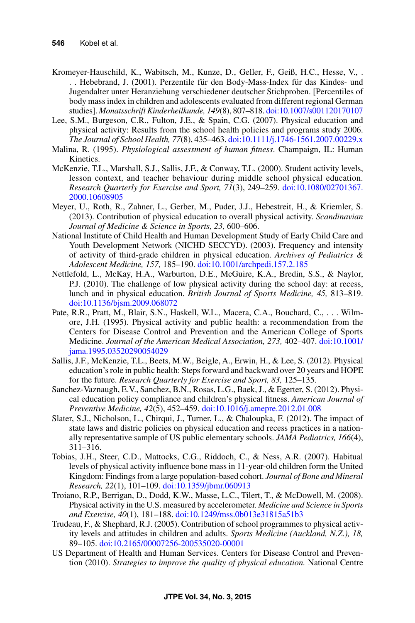- Kromeyer-Hauschild, K., Wabitsch, M., Kunze, D., Geller, F., Geiß, H.C., Hesse, V., . . . Hebebrand, J. (2001). Perzentile für den Body-Mass-Index für das Kindes- und Jugendalter unter Heranziehung verschiedener deutscher Stichproben. [Percentiles of body mass index in children and adolescents evaluated from different regional German studies]. *Monatsschrift Kinderheilkunde, 149*(8), 807–818. [doi:10.1007/s001120170107](http://dx.doi.org/10.1007/s001120170107)
- Lee, S.M., Burgeson, C.R., Fulton, J.E., & Spain, C.G. (2007). Physical education and physical activity: Results from the school health policies and programs study 2006. *The Journal of School Health, 77*(8), 435–463. [doi:10.1111/j.1746-1561.2007.00229.x](http://dx.doi.org/10.1111/j.1746-1561.2007.00229.x)
- Malina, R. (1995). *Physiological assessment of human fitness*. Champaign, IL: Human Kinetics.
- McKenzie, T.L., Marshall, S.J., Sallis, J.F., & Conway, T.L. (2000). Student activity levels, lesson context, and teacher behaviour during middle school physical education. *Research Quarterly for Exercise and Sport, 71*(3), 249–259. [doi:10.1080/02701367.](http://dx.doi.org/10.1080/02701367.2000.10608905) [2000.10608905](http://dx.doi.org/10.1080/02701367.2000.10608905)
- Meyer, U., Roth, R., Zahner, L., Gerber, M., Puder, J.J., Hebestreit, H., & Kriemler, S. (2013). Contribution of physical education to overall physical activity. *Scandinavian Journal of Medicine & Science in Sports, 23,* 600–606.
- National Institute of Child Health and Human Development Study of Early Child Care and Youth Development Network (NICHD SECCYD). (2003). Frequency and intensity of activity of third-grade children in physical education. *Archives of Pediatrics & Adolescent Medicine, 157,* 185–190. [doi:10.1001/archpedi.157.2.185](http://dx.doi.org/10.1001/archpedi.157.2.185)
- Nettlefold, L., McKay, H.A., Warburton, D.E., McGuire, K.A., Bredin, S.S., & Naylor, P.J. (2010). The challenge of low physical activity during the school day: at recess, lunch and in physical education. *British Journal of Sports Medicine, 45,* 813–819. [doi:10.1136/bjsm.2009.068072](http://dx.doi.org/10.1136/bjsm.2009.068072)
- Pate, R.R., Pratt, M., Blair, S.N., Haskell, W.L., Macera, C.A., Bouchard, C., . . . Wilmore, J.H. (1995). Physical activity and public health: a recommendation from the Centers for Disease Control and Prevention and the American College of Sports Medicine. *Journal of the American Medical Association, 273,* 402–407. [doi:10.1001/](http://dx.doi.org/10.1001/jama.1995.03520290054029) [jama.1995.03520290054029](http://dx.doi.org/10.1001/jama.1995.03520290054029)
- Sallis, J.F., McKenzie, T.L., Beets, M.W., Beigle, A., Erwin, H., & Lee, S. (2012). Physical education's role in public health: Steps forward and backward over 20 years and HOPE for the future. *Research Quarterly for Exercise and Sport, 83,* 125–135.
- Sanchez-Vaznaugh, E.V., Sanchez, B.N., Rosas, L.G., Baek, J., & Egerter, S. (2012). Physical education policy compliance and children's physical fitness. *American Journal of Preventive Medicine, 42*(5), 452–459. [doi:10.1016/j.amepre.2012.01.008](http://dx.doi.org/10.1016/j.amepre.2012.01.008)
- Slater, S.J., Nicholson, L., Chirqui, J., Turner, L., & Chaloupka, F. (2012). The impact of state laws and distric policies on physical education and recess practices in a nationally representative sample of US public elementary schools. *JAMA Pediatrics, 166*(4), 311–316.
- Tobias, J.H., Steer, C.D., Mattocks, C.G., Riddoch, C., & Ness, A.R. (2007). Habitual levels of physical activity influence bone mass in 11-year-old children form the United Kingdom: Findings from a large population-based cohort. *Journal of Bone and Mineral Research, 22*(1), 101–109. [doi:10.1359/jbmr.060913](http://dx.doi.org/10.1359/jbmr.060913)
- Troiano, R.P., Berrigan, D., Dodd, K.W., Masse, L.C., Tilert, T., & McDowell, M. (2008). Physical activity in the U.S. measured by accelerometer. *Medicine and Science in Sports and Exercise, 40*(1), 181–188. [doi:10.1249/mss.0b013e31815a51b3](http://dx.doi.org/10.1249/mss.0b013e31815a51b3)
- Trudeau, F., & Shephard, R.J. (2005). Contribution of school programmes to physical activity levels and attitudes in children and adults. *Sports Medicine (Auckland, N.Z.), 18,* 89–105. [doi:10.2165/00007256-200535020-00001](http://dx.doi.org/10.2165/00007256-200535020-00001)
- US Department of Health and Human Services. Centers for Disease Control and Prevention (2010). *Strategies to improve the quality of physical education.* National Centre